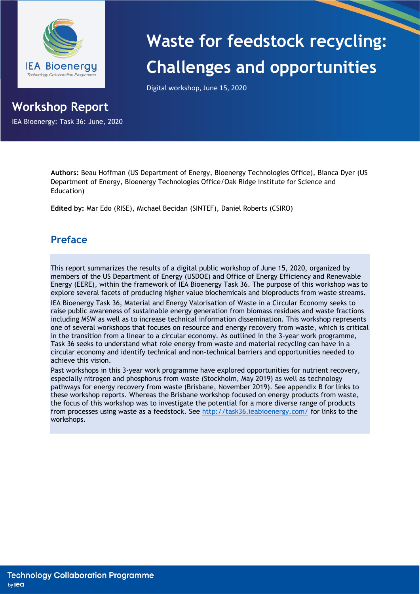

IEA Bioenergy: Task 36: June, 2020

**Workshop Report**

# **Waste for feedstock recycling: Challenges and opportunities**

Digital workshop, June 15, 2020

**Authors:** Beau Hoffman (US Department of Energy, Bioenergy Technologies Office), Bianca Dyer (US Department of Energy, Bioenergy Technologies Office/Oak Ridge Institute for Science and Education)

**Edited by:** Mar Edo (RISE), Michael Becidan (SINTEF), Daniel Roberts (CSIRO)

# **Preface**

This report summarizes the results of a digital public workshop of June 15, 2020, organized by members of the US Department of Energy (USDOE) and Office of Energy Efficiency and Renewable Energy (EERE), within the framework of IEA Bioenergy Task 36. The purpose of this workshop was to explore several facets of producing higher value biochemicals and bioproducts from waste streams.

IEA Bioenergy Task 36, Material and Energy Valorisation of Waste in a Circular Economy seeks to raise public awareness of sustainable energy generation from biomass residues and waste fractions including MSW as well as to increase technical information dissemination. This workshop represents one of several workshops that focuses on resource and energy recovery from waste, which is critical in the transition from a linear to a circular economy. As outlined in the 3-year work programme, Task 36 seeks to understand what role energy from waste and material recycling can have in a circular economy and identify technical and non-technical barriers and opportunities needed to achieve this vision.

Past workshops in this 3-year work programme have explored opportunities for nutrient recovery, especially nitrogen and phosphorus from waste (Stockholm, May 2019) as well as technology pathways for energy recovery from waste (Brisbane, November 2019). See appendix B for links to these workshop reports. Whereas the Brisbane workshop focused on energy products from waste, the focus of this workshop was to investigate the potential for a more diverse range of products from processes using waste as a feedstock. See<http://task36.ieabioenergy.com/> for links to the workshops.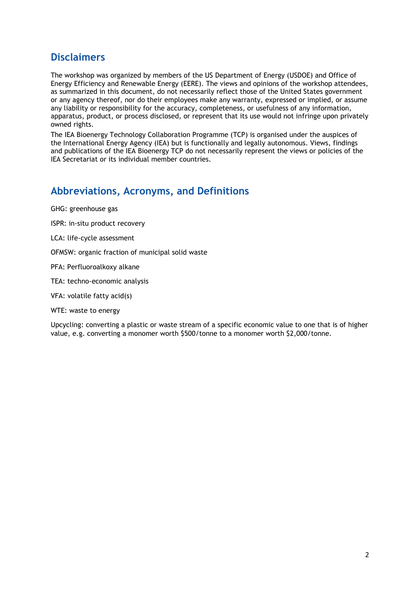# **Disclaimers**

The workshop was organized by members of the US Department of Energy (USDOE) and Office of Energy Efficiency and Renewable Energy (EERE). The views and opinions of the workshop attendees, as summarized in this document, do not necessarily reflect those of the United States government or any agency thereof, nor do their employees make any warranty, expressed or implied, or assume any liability or responsibility for the accuracy, completeness, or usefulness of any information, apparatus, product, or process disclosed, or represent that its use would not infringe upon privately owned rights.

The IEA Bioenergy Technology Collaboration Programme (TCP) is organised under the auspices of the International Energy Agency (IEA) but is functionally and legally autonomous. Views, findings and publications of the IEA Bioenergy TCP do not necessarily represent the views or policies of the IEA Secretariat or its individual member countries.

# **Abbreviations, Acronyms, and Definitions**

GHG: greenhouse gas

ISPR: in-situ product recovery

LCA: life-cycle assessment

OFMSW: organic fraction of municipal solid waste

PFA: Perfluoroalkoxy alkane

TEA: techno-economic analysis

VFA: volatile fatty acid(s)

WTE: waste to energy

Upcycling: converting a plastic or waste stream of a specific economic value to one that is of higher value, e.g. converting a monomer worth \$500/tonne to a monomer worth \$2,000/tonne.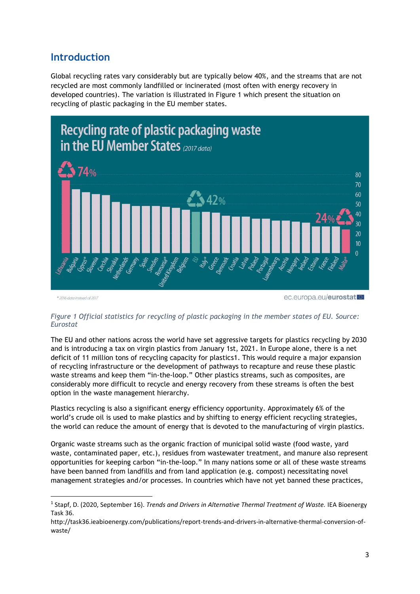# **Introduction**

Global recycling rates vary considerably but are typically below 40%, and the streams that are not recycled are most commonly landfilled or incinerated (most often with energy recovery in developed countries). The variation is illustrated in [Figure 1](#page-2-0) which present the situation on recycling of plastic packaging in the EU member states.



\* 2016 data instead of 2017

ec.europa.eu/eurostat

## <span id="page-2-0"></span>*Figure 1 Official statistics for recycling of plastic packaging in the member states of EU. Source: Eurostat*

The EU and other nations across the world have set aggressive targets for plastics recycling by 2030 and is introducing a tax on virgin plastics from January 1st, 2021. In Europe alone, there is a net deficit of 11 million tons of recycling capacity for plastics1. This would require a major expansion of recycling infrastructure or the development of pathways to recapture and reuse these plastic waste streams and keep them "in-the-loop." Other plastics streams, such as composites, are considerably more difficult to recycle and energy recovery from these streams is often the best option in the waste management hierarchy.

Plastics recycling is also a significant energy efficiency opportunity. Approximately 6% of the world's crude oil is used to make plastics and by shifting to energy efficient recycling strategies, the world can reduce the amount of energy that is devoted to the manufacturing of virgin plastics.

Organic waste streams such as the organic fraction of municipal solid waste (food waste, yard waste, contaminated paper, etc.), residues from wastewater treatment, and manure also represent opportunities for keeping carbon "in-the-loop." In many nations some or all of these waste streams have been banned from landfills and from land application (e.g. compost) necessitating novel management strategies and/or processes. In countries which have not yet banned these practices,

<sup>&</sup>lt;sup>1</sup> Stapf, D. (2020, September 16). *Trends and Drivers in Alternative Thermal Treatment of Waste.* IEA Bioenergy Task 36.

http://task36.ieabioenergy.com/publications/report-trends-and-drivers-in-alternative-thermal-conversion-ofwaste/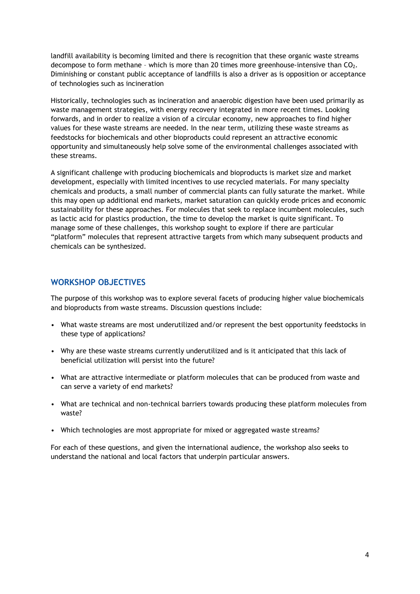landfill availability is becoming limited and there is recognition that these organic waste streams decompose to form methane - which is more than 20 times more greenhouse-intensive than  $CO<sub>2</sub>$ . Diminishing or constant public acceptance of landfills is also a driver as is opposition or acceptance of technologies such as incineration

Historically, technologies such as incineration and anaerobic digestion have been used primarily as waste management strategies, with energy recovery integrated in more recent times. Looking forwards, and in order to realize a vision of a circular economy, new approaches to find higher values for these waste streams are needed. In the near term, utilizing these waste streams as feedstocks for biochemicals and other bioproducts could represent an attractive economic opportunity and simultaneously help solve some of the environmental challenges associated with these streams.

A significant challenge with producing biochemicals and bioproducts is market size and market development, especially with limited incentives to use recycled materials. For many specialty chemicals and products, a small number of commercial plants can fully saturate the market. While this may open up additional end markets, market saturation can quickly erode prices and economic sustainability for these approaches. For molecules that seek to replace incumbent molecules, such as lactic acid for plastics production, the time to develop the market is quite significant. To manage some of these challenges, this workshop sought to explore if there are particular "platform" molecules that represent attractive targets from which many subsequent products and chemicals can be synthesized.

# **WORKSHOP OBJECTIVES**

The purpose of this workshop was to explore several facets of producing higher value biochemicals and bioproducts from waste streams. Discussion questions include:

- What waste streams are most underutilized and/or represent the best opportunity feedstocks in these type of applications?
- Why are these waste streams currently underutilized and is it anticipated that this lack of beneficial utilization will persist into the future?
- What are attractive intermediate or platform molecules that can be produced from waste and can serve a variety of end markets?
- What are technical and non-technical barriers towards producing these platform molecules from waste?
- Which technologies are most appropriate for mixed or aggregated waste streams?

For each of these questions, and given the international audience, the workshop also seeks to understand the national and local factors that underpin particular answers.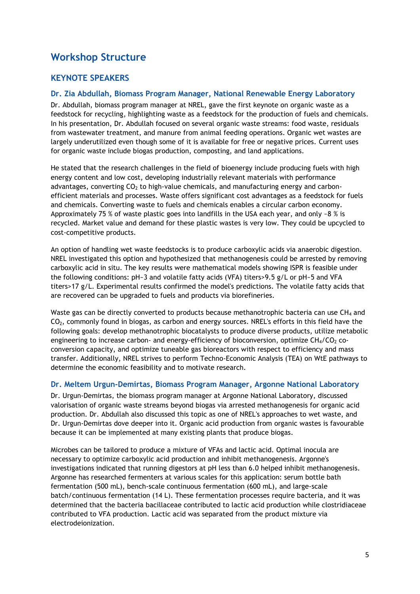# **Workshop Structure**

# **KEYNOTE SPEAKERS**

## **Dr. Zia Abdullah, Biomass Program Manager, National Renewable Energy Laboratory**

Dr. Abdullah, biomass program manager at NREL, gave the first keynote on organic waste as a feedstock for recycling, highlighting waste as a feedstock for the production of fuels and chemicals. In his presentation, Dr. Abdullah focused on several organic waste streams: food waste, residuals from wastewater treatment, and manure from animal feeding operations. Organic wet wastes are largely underutilized even though some of it is available for free or negative prices. Current uses for organic waste include biogas production, composting, and land applications.

He stated that the research challenges in the field of bioenergy include producing fuels with high energy content and low cost, developing industrially relevant materials with performance advantages, converting  $CO<sub>2</sub>$  to high-value chemicals, and manufacturing energy and carbonefficient materials and processes. Waste offers significant cost advantages as a feedstock for fuels and chemicals. Converting waste to fuels and chemicals enables a circular carbon economy. Approximately 75 % of waste plastic goes into landfills in the USA each year, and only ~8 % is recycled. Market value and demand for these plastic wastes is very low. They could be upcycled to cost-competitive products.

An option of handling wet waste feedstocks is to produce carboxylic acids via anaerobic digestion. NREL investigated this option and hypothesized that methanogenesis could be arrested by removing carboxylic acid in situ. The key results were mathematical models showing ISPR is feasible under the following conditions: pH~3 and volatile fatty acids (VFA) titers>9.5 g/L or pH~5 and VFA titers>17 g/L. Experimental results confirmed the model's predictions. The volatile fatty acids that are recovered can be upgraded to fuels and products via biorefineries.

Waste gas can be directly converted to products because methanotrophic bacteria can use  $CH<sub>4</sub>$  and CO2, commonly found in biogas, as carbon and energy sources. NREL's efforts in this field have the following goals: develop methanotrophic biocatalysts to produce diverse products, utilize metabolic engineering to increase carbon- and energy-efficiency of bioconversion, optimize  $CH<sub>4</sub>/CO<sub>2</sub>$  coconversion capacity, and optimize tuneable gas bioreactors with respect to efficiency and mass transfer. Additionally, NREL strives to perform Techno-Economic Analysis (TEA) on WtE pathways to determine the economic feasibility and to motivate research.

### **Dr. Meltem Urgun-Demirtas, Biomass Program Manager, Argonne National Laboratory**

Dr. Urgun-Demirtas, the biomass program manager at Argonne National Laboratory, discussed valorisation of organic waste streams beyond biogas via arrested methanogenesis for organic acid production. Dr. Abdullah also discussed this topic as one of NREL's approaches to wet waste, and Dr. Urgun-Demirtas dove deeper into it. Organic acid production from organic wastes is favourable because it can be implemented at many existing plants that produce biogas.

Microbes can be tailored to produce a mixture of VFAs and lactic acid. Optimal inocula are necessary to optimize carboxylic acid production and inhibit methanogenesis. Argonne's investigations indicated that running digestors at pH less than 6.0 helped inhibit methanogenesis. Argonne has researched fermenters at various scales for this application: serum bottle bath fermentation (500 mL), bench-scale continuous fermentation (600 mL), and large-scale batch/continuous fermentation (14 L). These fermentation processes require bacteria, and it was determined that the bacteria bacillaceae contributed to lactic acid production while clostridiaceae contributed to VFA production. Lactic acid was separated from the product mixture via electrodeionization.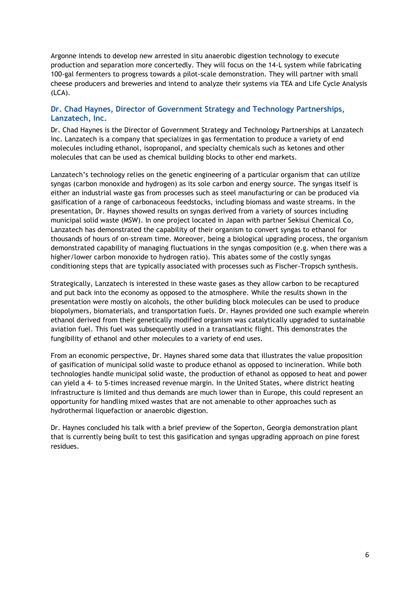Argonne intends to develop new arrested in situ anaerobic digestion technology to execute production and separation more concertedly. They will focus on the 14-L system while fabricating 100-gal fermenters to progress towards a pilot-scale demonstration. They will partner with small cheese producers and breweries and intend to analyze their systems via TEA and Life Cycle Analysis (LCA).

## **Dr. Chad Haynes, Director of Government Strategy and Technology Partnerships, Lanzatech, Inc.**

Dr. Chad Haynes is the Director of Government Strategy and Technology Partnerships at Lanzatech Inc. Lanzatech is a company that specializes in gas fermentation to produce a variety of end molecules including ethanol, isopropanol, and specialty chemicals such as ketones and other molecules that can be used as chemical building blocks to other end markets.

Lanzatech's technology relies on the genetic engineering of a particular organism that can utilize syngas (carbon monoxide and hydrogen) as its sole carbon and energy source. The syngas itself is either an industrial waste gas from processes such as steel manufacturing or can be produced via gasification of a range of carbonaceous feedstocks, including biomass and waste streams. In the presentation, Dr. Haynes showed results on syngas derived from a variety of sources including municipal solid waste (MSW). In one project located in Japan with partner Sekisui Chemical Co, Lanzatech has demonstrated the capability of their organism to convert syngas to ethanol for thousands of hours of on-stream time. Moreover, being a biological upgrading process, the organism demonstrated capability of managing fluctuations in the syngas composition (e.g. when there was a higher/lower carbon monoxide to hydrogen ratio). This abates some of the costly syngas conditioning steps that are typically associated with processes such as Fischer-Tropsch synthesis.

Strategically, Lanzatech is interested in these waste gases as they allow carbon to be recaptured and put back into the economy as opposed to the atmosphere. While the results shown in the presentation were mostly on alcohols, the other building block molecules can be used to produce biopolymers, biomaterials, and transportation fuels. Dr. Haynes provided one such example wherein ethanol derived from their genetically modified organism was catalytically upgraded to sustainable aviation fuel. This fuel was subsequently used in a transatlantic flight. This demonstrates the fungibility of ethanol and other molecules to a variety of end uses.

From an economic perspective, Dr. Haynes shared some data that illustrates the value proposition of gasification of municipal solid waste to produce ethanol as opposed to incineration. While both technologies handle municipal solid waste, the production of ethanol as opposed to heat and power can yield a 4- to 5-times increased revenue margin. In the United States, where district heating infrastructure is limited and thus demands are much lower than in Europe, this could represent an opportunity for handling mixed wastes that are not amenable to other approaches such as hydrothermal liquefaction or anaerobic digestion.

Dr. Haynes concluded his talk with a brief preview of the Soperton, Georgia demonstration plant that is currently being built to test this gasification and syngas upgrading approach on pine forest residues.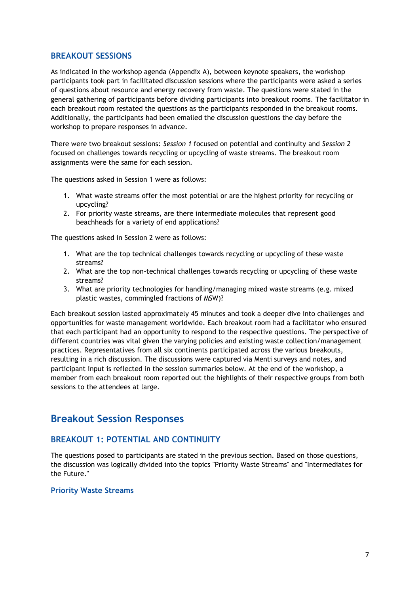## **BREAKOUT SESSIONS**

As indicated in the workshop agenda (Appendix A), between keynote speakers, the workshop participants took part in facilitated discussion sessions where the participants were asked a series of questions about resource and energy recovery from waste. The questions were stated in the general gathering of participants before dividing participants into breakout rooms. The facilitator in each breakout room restated the questions as the participants responded in the breakout rooms. Additionally, the participants had been emailed the discussion questions the day before the workshop to prepare responses in advance.

There were two breakout sessions: *Session 1* focused on potential and continuity and *Session 2* focused on challenges towards recycling or upcycling of waste streams. The breakout room assignments were the same for each session.

The questions asked in Session 1 were as follows:

- 1. What waste streams offer the most potential or are the highest priority for recycling or upcycling?
- 2. For priority waste streams, are there intermediate molecules that represent good beachheads for a variety of end applications?

The questions asked in Session 2 were as follows:

- 1. What are the top technical challenges towards recycling or upcycling of these waste streams?
- 2. What are the top non-technical challenges towards recycling or upcycling of these waste streams?
- 3. What are priority technologies for handling/managing mixed waste streams (e.g. mixed plastic wastes, commingled fractions of MSW)?

Each breakout session lasted approximately 45 minutes and took a deeper dive into challenges and opportunities for waste management worldwide. Each breakout room had a facilitator who ensured that each participant had an opportunity to respond to the respective questions. The perspective of different countries was vital given the varying policies and existing waste collection/management practices. Representatives from all six continents participated across the various breakouts, resulting in a rich discussion. The discussions were captured via Menti surveys and notes, and participant input is reflected in the session summaries below. At the end of the workshop, a member from each breakout room reported out the highlights of their respective groups from both sessions to the attendees at large.

# **Breakout Session Responses**

# **BREAKOUT 1: POTENTIAL AND CONTINUITY**

The questions posed to participants are stated in the previous section. Based on those questions, the discussion was logically divided into the topics "Priority Waste Streams" and "Intermediates for the Future."

### **Priority Waste Streams**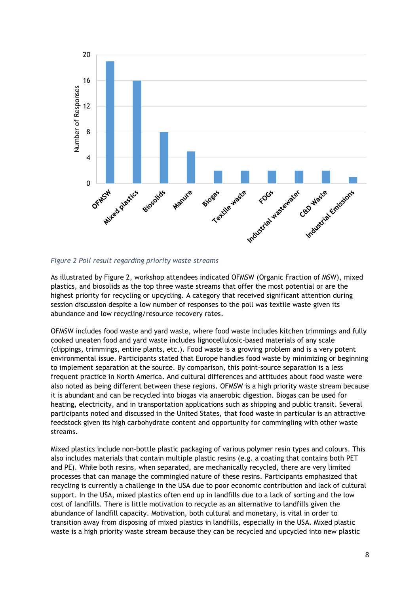

### <span id="page-7-0"></span>*Figure 2 Poll result regarding priority waste streams*

As illustrated by [Figure 2,](#page-7-0) workshop attendees indicated OFMSW (Organic Fraction of MSW), mixed plastics, and biosolids as the top three waste streams that offer the most potential or are the highest priority for recycling or upcycling. A category that received significant attention during session discussion despite a low number of responses to the poll was textile waste given its abundance and low recycling/resource recovery rates.

OFMSW includes food waste and yard waste, where food waste includes kitchen trimmings and fully cooked uneaten food and yard waste includes lignocellulosic-based materials of any scale (clippings, trimmings, entire plants, etc.). Food waste is a growing problem and is a very potent environmental issue. Participants stated that Europe handles food waste by minimizing or beginning to implement separation at the source. By comparison, this point-source separation is a less frequent practice in North America. And cultural differences and attitudes about food waste were also noted as being different between these regions. OFMSW is a high priority waste stream because it is abundant and can be recycled into biogas via anaerobic digestion. Biogas can be used for heating, electricity, and in transportation applications such as shipping and public transit. Several participants noted and discussed in the United States, that food waste in particular is an attractive feedstock given its high carbohydrate content and opportunity for commingling with other waste streams.

Mixed plastics include non-bottle plastic packaging of various polymer resin types and colours. This also includes materials that contain multiple plastic resins (e.g. a coating that contains both PET and PE). While both resins, when separated, are mechanically recycled, there are very limited processes that can manage the commingled nature of these resins. Participants emphasized that recycling is currently a challenge in the USA due to poor economic contribution and lack of cultural support. In the USA, mixed plastics often end up in landfills due to a lack of sorting and the low cost of landfills. There is little motivation to recycle as an alternative to landfills given the abundance of landfill capacity. Motivation, both cultural and monetary, is vital in order to transition away from disposing of mixed plastics in landfills, especially in the USA. Mixed plastic waste is a high priority waste stream because they can be recycled and upcycled into new plastic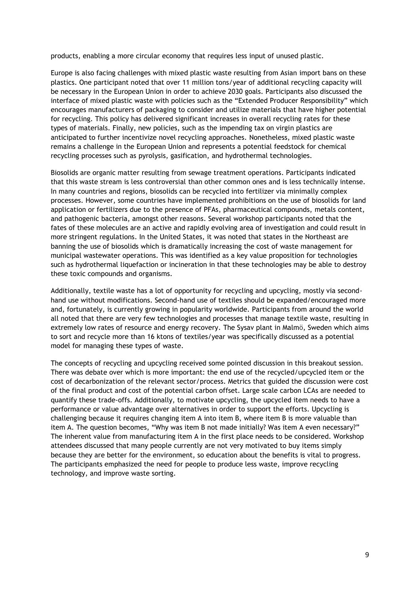products, enabling a more circular economy that requires less input of unused plastic.

Europe is also facing challenges with mixed plastic waste resulting from Asian import bans on these plastics. One participant noted that over 11 million tons/year of additional recycling capacity will be necessary in the European Union in order to achieve 2030 goals. Participants also discussed the interface of mixed plastic waste with policies such as the "Extended Producer Responsibility" which encourages manufacturers of packaging to consider and utilize materials that have higher potential for recycling. This policy has delivered significant increases in overall recycling rates for these types of materials. Finally, new policies, such as the impending tax on virgin plastics are anticipated to further incentivize novel recycling approaches. Nonetheless, mixed plastic waste remains a challenge in the European Union and represents a potential feedstock for chemical recycling processes such as pyrolysis, gasification, and hydrothermal technologies.

Biosolids are organic matter resulting from sewage treatment operations. Participants indicated that this waste stream is less controversial than other common ones and is less technically intense. In many countries and regions, biosolids can be recycled into fertilizer via minimally complex processes. However, some countries have implemented prohibitions on the use of biosolids for land application or fertilizers due to the presence of PFAs, pharmaceutical compounds, metals content, and pathogenic bacteria, amongst other reasons. Several workshop participants noted that the fates of these molecules are an active and rapidly evolving area of investigation and could result in more stringent regulations. In the United States, it was noted that states in the Northeast are banning the use of biosolids which is dramatically increasing the cost of waste management for municipal wastewater operations. This was identified as a key value proposition for technologies such as hydrothermal liquefaction or incineration in that these technologies may be able to destroy these toxic compounds and organisms.

Additionally, textile waste has a lot of opportunity for recycling and upcycling, mostly via secondhand use without modifications. Second-hand use of textiles should be expanded/encouraged more and, fortunately, is currently growing in popularity worldwide. Participants from around the world all noted that there are very few technologies and processes that manage textile waste, resulting in extremely low rates of resource and energy recovery. The Sysav plant in Malmö, Sweden which aims to sort and recycle more than 16 ktons of textiles/year was specifically discussed as a potential model for managing these types of waste.

The concepts of recycling and upcycling received some pointed discussion in this breakout session. There was debate over which is more important: the end use of the recycled/upcycled item or the cost of decarbonization of the relevant sector/process. Metrics that guided the discussion were cost of the final product and cost of the potential carbon offset. Large scale carbon LCAs are needed to quantify these trade-offs. Additionally, to motivate upcycling, the upcycled item needs to have a performance or value advantage over alternatives in order to support the efforts. Upcycling is challenging because it requires changing item A into item B, where item B is more valuable than item A. The question becomes, "Why was item B not made initially? Was item A even necessary?" The inherent value from manufacturing item A in the first place needs to be considered. Workshop attendees discussed that many people currently are not very motivated to buy items simply because they are better for the environment, so education about the benefits is vital to progress. The participants emphasized the need for people to produce less waste, improve recycling technology, and improve waste sorting.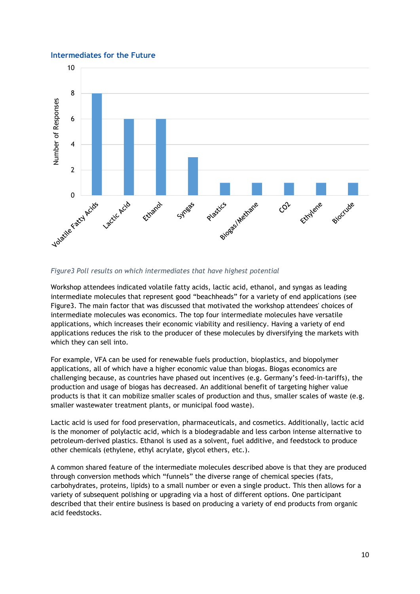#### **Intermediates for the Future**



#### <span id="page-9-0"></span>*Figure3 Poll results on which intermediates that have highest potential*

Workshop attendees indicated volatile fatty acids, lactic acid, ethanol, and syngas as leading intermediate molecules that represent good "beachheads" for a variety of end applications (see [Figure3.](#page-9-0) The main factor that was discussed that motivated the workshop attendees' choices of intermediate molecules was economics. The top four intermediate molecules have versatile applications, which increases their economic viability and resiliency. Having a variety of end applications reduces the risk to the producer of these molecules by diversifying the markets with which they can sell into.

For example, VFA can be used for renewable fuels production, bioplastics, and biopolymer applications, all of which have a higher economic value than biogas. Biogas economics are challenging because, as countries have phased out incentives (e.g. Germany's feed-in-tariffs), the production and usage of biogas has decreased. An additional benefit of targeting higher value products is that it can mobilize smaller scales of production and thus, smaller scales of waste (e.g. smaller wastewater treatment plants, or municipal food waste).

Lactic acid is used for food preservation, pharmaceuticals, and cosmetics. Additionally, lactic acid is the monomer of polylactic acid, which is a biodegradable and less carbon intense alternative to petroleum-derived plastics. Ethanol is used as a solvent, fuel additive, and feedstock to produce other chemicals (ethylene, ethyl acrylate, glycol ethers, etc.).

A common shared feature of the intermediate molecules described above is that they are produced through conversion methods which "funnels" the diverse range of chemical species (fats, carbohydrates, proteins, lipids) to a small number or even a single product. This then allows for a variety of subsequent polishing or upgrading via a host of different options. One participant described that their entire business is based on producing a variety of end products from organic acid feedstocks.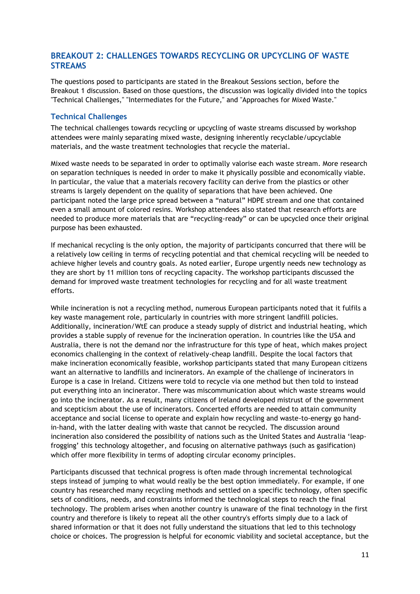# **BREAKOUT 2: CHALLENGES TOWARDS RECYCLING OR UPCYCLING OF WASTE STREAMS**

The questions posed to participants are stated in the Breakout Sessions section, before the Breakout 1 discussion. Based on those questions, the discussion was logically divided into the topics "Technical Challenges," "Intermediates for the Future," and "Approaches for Mixed Waste."

## **Technical Challenges**

The technical challenges towards recycling or upcycling of waste streams discussed by workshop attendees were mainly separating mixed waste, designing inherently recyclable/upcyclable materials, and the waste treatment technologies that recycle the material.

Mixed waste needs to be separated in order to optimally valorise each waste stream. More research on separation techniques is needed in order to make it physically possible and economically viable. In particular, the value that a materials recovery facility can derive from the plastics or other streams is largely dependent on the quality of separations that have been achieved. One participant noted the large price spread between a "natural" HDPE stream and one that contained even a small amount of colored resins. Workshop attendees also stated that research efforts are needed to produce more materials that are "recycling-ready" or can be upcycled once their original purpose has been exhausted.

If mechanical recycling is the only option, the majority of participants concurred that there will be a relatively low ceiling in terms of recycling potential and that chemical recycling will be needed to achieve higher levels and country goals. As noted earlier, Europe urgently needs new technology as they are short by 11 million tons of recycling capacity. The workshop participants discussed the demand for improved waste treatment technologies for recycling and for all waste treatment efforts.

While incineration is not a recycling method, numerous European participants noted that it fulfils a key waste management role, particularly in countries with more stringent landfill policies. Additionally, incineration/WtE can produce a steady supply of district and industrial heating, which provides a stable supply of revenue for the incineration operation. In countries like the USA and Australia, there is not the demand nor the infrastructure for this type of heat, which makes project economics challenging in the context of relatively-cheap landfill. Despite the local factors that make incineration economically feasible, workshop participants stated that many European citizens want an alternative to landfills and incinerators. An example of the challenge of incinerators in Europe is a case in Ireland. Citizens were told to recycle via one method but then told to instead put everything into an incinerator. There was miscommunication about which waste streams would go into the incinerator. As a result, many citizens of Ireland developed mistrust of the government and scepticism about the use of incinerators. Concerted efforts are needed to attain community acceptance and social license to operate and explain how recycling and waste-to-energy go handin-hand, with the latter dealing with waste that cannot be recycled. The discussion around incineration also considered the possibility of nations such as the United States and Australia 'leapfrogging' this technology altogether, and focusing on alternative pathways (such as gasification) which offer more flexibility in terms of adopting circular economy principles.

Participants discussed that technical progress is often made through incremental technological steps instead of jumping to what would really be the best option immediately. For example, if one country has researched many recycling methods and settled on a specific technology, often specific sets of conditions, needs, and constraints informed the technological steps to reach the final technology. The problem arises when another country is unaware of the final technology in the first country and therefore is likely to repeat all the other country's efforts simply due to a lack of shared information or that it does not fully understand the situations that led to this technology choice or choices. The progression is helpful for economic viability and societal acceptance, but the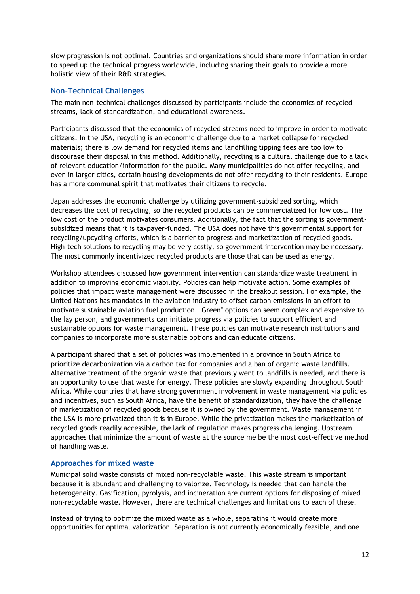slow progression is not optimal. Countries and organizations should share more information in order to speed up the technical progress worldwide, including sharing their goals to provide a more holistic view of their R&D strategies.

## **Non-Technical Challenges**

The main non-technical challenges discussed by participants include the economics of recycled streams, lack of standardization, and educational awareness.

Participants discussed that the economics of recycled streams need to improve in order to motivate citizens. In the USA, recycling is an economic challenge due to a market collapse for recycled materials; there is low demand for recycled items and landfilling tipping fees are too low to discourage their disposal in this method. Additionally, recycling is a cultural challenge due to a lack of relevant education/information for the public. Many municipalities do not offer recycling, and even in larger cities, certain housing developments do not offer recycling to their residents. Europe has a more communal spirit that motivates their citizens to recycle.

Japan addresses the economic challenge by utilizing government-subsidized sorting, which decreases the cost of recycling, so the recycled products can be commercialized for low cost. The low cost of the product motivates consumers. Additionally, the fact that the sorting is governmentsubsidized means that it is taxpayer-funded. The USA does not have this governmental support for recycling/upcycling efforts, which is a barrier to progress and marketization of recycled goods. High-tech solutions to recycling may be very costly, so government intervention may be necessary. The most commonly incentivized recycled products are those that can be used as energy.

Workshop attendees discussed how government intervention can standardize waste treatment in addition to improving economic viability. Policies can help motivate action. Some examples of policies that impact waste management were discussed in the breakout session. For example, the United Nations has mandates in the aviation industry to offset carbon emissions in an effort to motivate sustainable aviation fuel production. "Green" options can seem complex and expensive to the lay person, and governments can initiate progress via policies to support efficient and sustainable options for waste management. These policies can motivate research institutions and companies to incorporate more sustainable options and can educate citizens.

A participant shared that a set of policies was implemented in a province in South Africa to prioritize decarbonization via a carbon tax for companies and a ban of organic waste landfills. Alternative treatment of the organic waste that previously went to landfills is needed, and there is an opportunity to use that waste for energy. These policies are slowly expanding throughout South Africa. While countries that have strong government involvement in waste management via policies and incentives, such as South Africa, have the benefit of standardization, they have the challenge of marketization of recycled goods because it is owned by the government. Waste management in the USA is more privatized than it is in Europe. While the privatization makes the marketization of recycled goods readily accessible, the lack of regulation makes progress challenging. Upstream approaches that minimize the amount of waste at the source me be the most cost-effective method of handling waste.

### **Approaches for mixed waste**

Municipal solid waste consists of mixed non-recyclable waste. This waste stream is important because it is abundant and challenging to valorize. Technology is needed that can handle the heterogeneity. Gasification, pyrolysis, and incineration are current options for disposing of mixed non-recyclable waste. However, there are technical challenges and limitations to each of these.

Instead of trying to optimize the mixed waste as a whole, separating it would create more opportunities for optimal valorization. Separation is not currently economically feasible, and one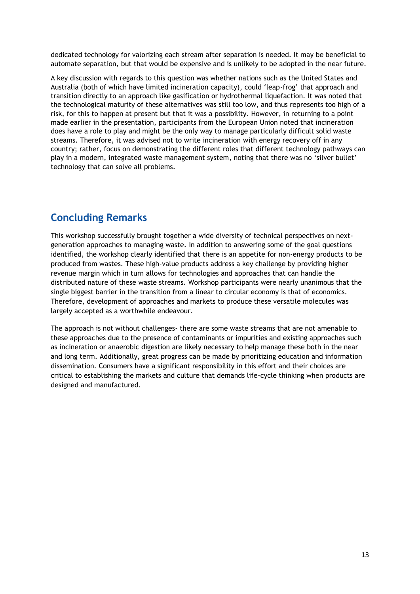dedicated technology for valorizing each stream after separation is needed. It may be beneficial to automate separation, but that would be expensive and is unlikely to be adopted in the near future.

A key discussion with regards to this question was whether nations such as the United States and Australia (both of which have limited incineration capacity), could 'leap-frog' that approach and transition directly to an approach like gasification or hydrothermal liquefaction. It was noted that the technological maturity of these alternatives was still too low, and thus represents too high of a risk, for this to happen at present but that it was a possibility. However, in returning to a point made earlier in the presentation, participants from the European Union noted that incineration does have a role to play and might be the only way to manage particularly difficult solid waste streams. Therefore, it was advised not to write incineration with energy recovery off in any country; rather, focus on demonstrating the different roles that different technology pathways can play in a modern, integrated waste management system, noting that there was no 'silver bullet' technology that can solve all problems.

# **Concluding Remarks**

This workshop successfully brought together a wide diversity of technical perspectives on nextgeneration approaches to managing waste. In addition to answering some of the goal questions identified, the workshop clearly identified that there is an appetite for non-energy products to be produced from wastes. These high-value products address a key challenge by providing higher revenue margin which in turn allows for technologies and approaches that can handle the distributed nature of these waste streams. Workshop participants were nearly unanimous that the single biggest barrier in the transition from a linear to circular economy is that of economics. Therefore, development of approaches and markets to produce these versatile molecules was largely accepted as a worthwhile endeavour.

The approach is not without challenges- there are some waste streams that are not amenable to these approaches due to the presence of contaminants or impurities and existing approaches such as incineration or anaerobic digestion are likely necessary to help manage these both in the near and long term. Additionally, great progress can be made by prioritizing education and information dissemination. Consumers have a significant responsibility in this effort and their choices are critical to establishing the markets and culture that demands life-cycle thinking when products are designed and manufactured.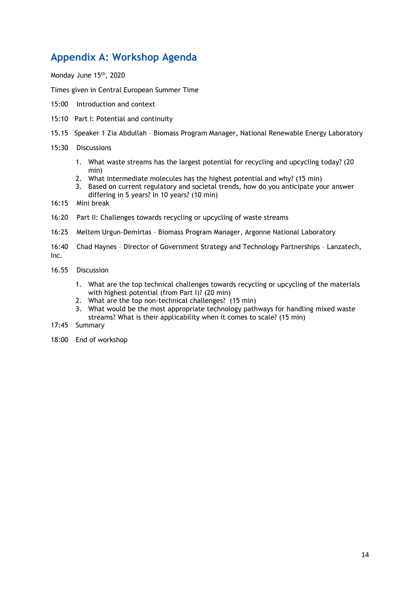# **Appendix A: Workshop Agenda**

Monday June 15th, 2020

Times given in Central European Summer Time

- 15:00 Introduction and context
- 15:10 Part I: Potential and continuity
- 15.15 Speaker 1 Zia Abdullah Biomass Program Manager, National Renewable Energy Laboratory
- 15:30 Discussions
	- 1. What waste streams has the largest potential for recycling and upcycling today? (20 min)
	- 2. What intermediate molecules has the highest potential and why? (15 min)
	- 3. Based on current regulatory and societal trends, how do you anticipate your answer differing in 5 years? In 10 years? (10 min)
- 16:15 Mini break
- 16:20 Part II: Challenges towards recycling or upcycling of waste streams
- 16:25 Meltem Urgun-Demirtas Biomass Program Manager, Argonne National Laboratory
- 16:40 Chad Haynes Director of Government Strategy and Technology Partnerships Lanzatech, Inc.
- 16.55 Discussion
	- 1. What are the top technical challenges towards recycling or upcycling of the materials with highest potential (from Part I)? (20 min)
	- 2. What are the top non-technical challenges? (15 min)
	- 3. What would be the most appropriate technology pathways for handling mixed waste streams? What is their applicability when it comes to scale? (15 min)
- 17:45 Summary
- 18:00 End of workshop